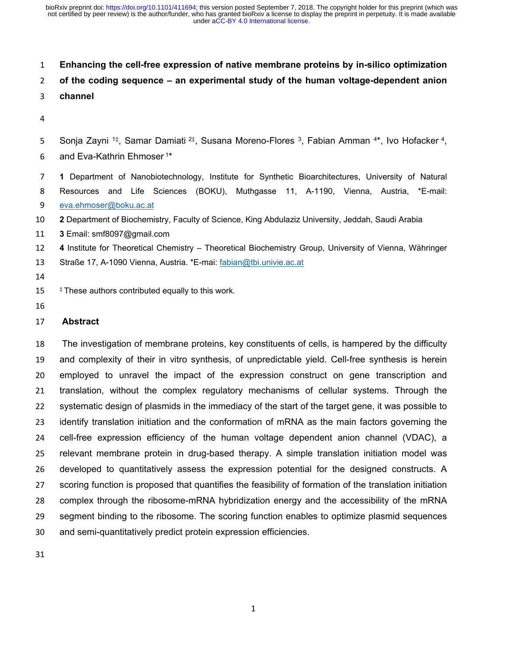### **Enhancing the cell-free expression of native membrane proteins by in-silico optimization**

# **of the coding sequence – an experimental study of the human voltage-dependent anion**

- **channel**
- 
- 5 Sonja Zayni <sup>1‡</sup>, Samar Damiati <sup>2‡</sup>, Susana Moreno-Flores <sup>3</sup>, Fabian Amman <sup>4\*</sup>, Ivo Hofacker <sup>4</sup>,
- 6 and Eva-Kathrin Ehmoser<sup>1\*</sup>
- **1** Department of Nanobiotechnology, Institute for Synthetic Bioarchitectures, University of Natural Resources and Life Sciences (BOKU), Muthgasse 11, A-1190, Vienna, Austria, \*E-mail: eva.ehmoser@boku.ac.at
- **2** Department of Biochemistry, Faculty of Science, King Abdulaziz University, Jeddah, Saudi Arabia
- **3** Email: smf8097@gmail.com
- **4** Institute for Theoretical Chemistry Theoretical Biochemistry Group, University of Vienna, Währinger
- 13 Straße 17, A-1090 Vienna, Austria. \*E-mai: fabian@tbi.univie.ac.at
- 
- 15 <sup>‡</sup> These authors contributed equally to this work.
- 

#### **Abstract**

 The investigation of membrane proteins, key constituents of cells, is hampered by the difficulty and complexity of their in vitro synthesis, of unpredictable yield. Cell-free synthesis is herein employed to unravel the impact of the expression construct on gene transcription and translation, without the complex regulatory mechanisms of cellular systems. Through the systematic design of plasmids in the immediacy of the start of the target gene, it was possible to identify translation initiation and the conformation of mRNA as the main factors governing the cell-free expression efficiency of the human voltage dependent anion channel (VDAC), a relevant membrane protein in drug-based therapy. A simple translation initiation model was developed to quantitatively assess the expression potential for the designed constructs. A scoring function is proposed that quantifies the feasibility of formation of the translation initiation complex through the ribosome-mRNA hybridization energy and the accessibility of the mRNA segment binding to the ribosome. The scoring function enables to optimize plasmid sequences and semi-quantitatively predict protein expression efficiencies.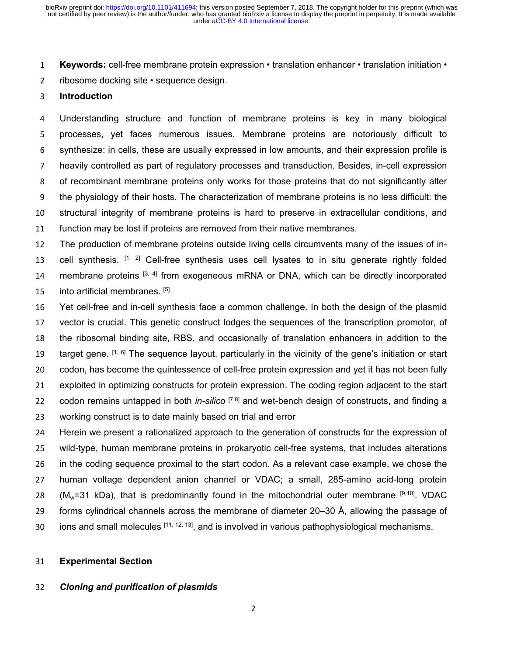**Keywords:** cell-free membrane protein expression • translation enhancer • translation initiation •

ribosome docking site • sequence design.

### **Introduction**

 Understanding structure and function of membrane proteins is key in many biological processes, yet faces numerous issues. Membrane proteins are notoriously difficult to synthesize: in cells, these are usually expressed in low amounts, and their expression profile is heavily controlled as part of regulatory processes and transduction. Besides, in-cell expression of recombinant membrane proteins only works for those proteins that do not significantly alter the physiology of their hosts. The characterization of membrane proteins is no less difficult: the structural integrity of membrane proteins is hard to preserve in extracellular conditions, and function may be lost if proteins are removed from their native membranes.

 The production of membrane proteins outside living cells circumvents many of the issues of in-13 cell synthesis.  $[1, 2]$  Cell-free synthesis uses cell lysates to in situ generate rightly folded 14 membrane proteins  $[3, 4]$  from exogeneous mRNA or DNA, which can be directly incorporated into artificial membranes. [5]

 Yet cell-free and in-cell synthesis face a common challenge. In both the design of the plasmid vector is crucial. This genetic construct lodges the sequences of the transcription promotor, of the ribosomal binding site, RBS, and occasionally of translation enhancers in addition to the 19 target gene.  $[1, 6]$  The sequence layout, particularly in the vicinity of the gene's initiation or start codon, has become the quintessence of cell-free protein expression and yet it has not been fully exploited in optimizing constructs for protein expression. The coding region adjacent to the start codon remains untapped in both *in-silico* [7,8] and wet-bench design of constructs, and finding a working construct is to date mainly based on trial and error

 Herein we present a rationalized approach to the generation of constructs for the expression of wild-type, human membrane proteins in prokaryotic cell-free systems, that includes alterations in the coding sequence proximal to the start codon. As a relevant case example, we chose the human voltage dependent anion channel or VDAC; a small, 285-amino acid-long protein 28 (M<sub>w</sub>=31 kDa), that is predominantly found in the mitochondrial outer membrane  $[9,10]$ . VDAC forms cylindrical channels across the membrane of diameter 20–30 Å, allowing the passage of 30 ions and small molecules  $[11, 12, 13]$ , and is involved in various pathophysiological mechanisms.

#### **Experimental Section**

### *Cloning and purification of plasmids*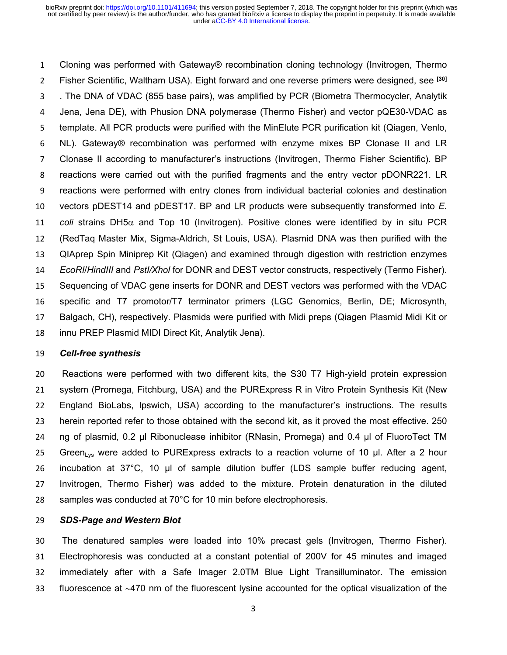Cloning was performed with Gateway® recombination cloning technology (Invitrogen, Thermo Fisher Scientific, Waltham USA). Eight forward and one reverse primers were designed, see **[30]** . The DNA of VDAC (855 base pairs), was amplified by PCR (Biometra Thermocycler, Analytik Jena, Jena DE), with Phusion DNA polymerase (Thermo Fisher) and vector pQE30-VDAC as template. All PCR products were purified with the MinElute PCR purification kit (Qiagen, Venlo, NL). Gateway® recombination was performed with enzyme mixes BP Clonase II and LR Clonase II according to manufacturer's instructions (Invitrogen, Thermo Fisher Scientific). BP reactions were carried out with the purified fragments and the entry vector pDONR221. LR reactions were performed with entry clones from individual bacterial colonies and destination vectors pDEST14 and pDEST17. BP and LR products were subsequently transformed into *E. coli* strains DH5 $\alpha$  and Top 10 (Invitrogen). Positive clones were identified by in situ PCR (RedTaq Master Mix, Sigma-Aldrich, St Louis, USA). Plasmid DNA was then purified with the QIAprep Spin Miniprep Kit (Qiagen) and examined through digestion with restriction enzymes *EcoRI*/*HindIII* and *PstI/Xhol* for DONR and DEST vector constructs, respectively (Termo Fisher). Sequencing of VDAC gene inserts for DONR and DEST vectors was performed with the VDAC specific and T7 promotor/T7 terminator primers (LGC Genomics, Berlin, DE; Microsynth, Balgach, CH), respectively. Plasmids were purified with Midi preps (Qiagen Plasmid Midi Kit or innu PREP Plasmid MIDI Direct Kit, Analytik Jena).

#### *Cell-free synthesis*

 Reactions were performed with two different kits, the S30 T7 High-yield protein expression system (Promega, Fitchburg, USA) and the PURExpress R in Vitro Protein Synthesis Kit (New England BioLabs, Ipswich, USA) according to the manufacturer's instructions. The results herein reported refer to those obtained with the second kit, as it proved the most effective. 250 24 ng of plasmid, 0.2 µl Ribonuclease inhibitor (RNasin, Promega) and 0.4 µl of FluoroTect TM 25 Green<sub>Lys</sub> were added to PURExpress extracts to a reaction volume of 10 µl. After a 2 hour incubation at 37°C, 10 µl of sample dilution buffer (LDS sample buffer reducing agent, Invitrogen, Thermo Fisher) was added to the mixture. Protein denaturation in the diluted samples was conducted at 70°C for 10 min before electrophoresis.

### *SDS-Page and Western Blot*

 The denatured samples were loaded into 10% precast gels (Invitrogen, Thermo Fisher). Electrophoresis was conducted at a constant potential of 200V for 45 minutes and imaged immediately after with a Safe Imager 2.0TM Blue Light Transilluminator. The emission 33 fluorescence at  $\sim$  470 nm of the fluorescent lysine accounted for the optical visualization of the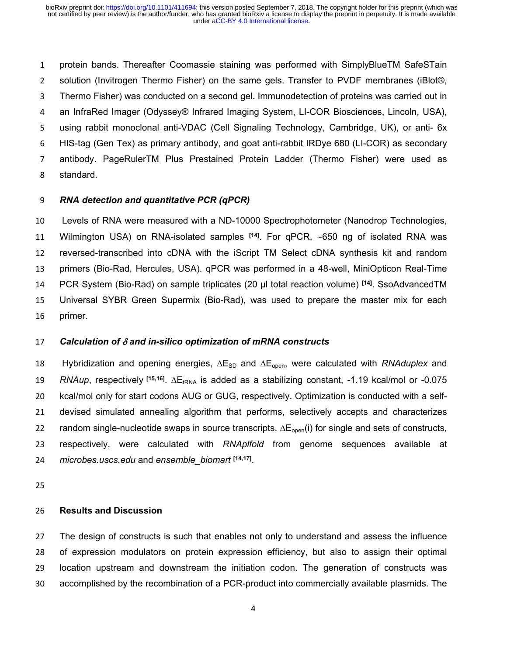protein bands. Thereafter Coomassie staining was performed with SimplyBlueTM SafeSTain solution (Invitrogen Thermo Fisher) on the same gels. Transfer to PVDF membranes (iBlot®, Thermo Fisher) was conducted on a second gel. Immunodetection of proteins was carried out in an InfraRed Imager (Odyssey® Infrared Imaging System, LI-COR Biosciences, Lincoln, USA), using rabbit monoclonal anti-VDAC (Cell Signaling Technology, Cambridge, UK), or anti- 6x HIS-tag (Gen Tex) as primary antibody, and goat anti-rabbit IRDye 680 (LI-COR) as secondary antibody. PageRulerTM Plus Prestained Protein Ladder (Thermo Fisher) were used as standard.

# *RNA detection and quantitative PCR (qPCR)*

 Levels of RNA were measured with a ND-10000 Spectrophotometer (Nanodrop Technologies, Wilmington USA) on RNA-isolated samples **[14]**. For qPCR, 650 ng of isolated RNA was reversed-transcribed into cDNA with the iScript TM Select cDNA synthesis kit and random primers (Bio-Rad, Hercules, USA). qPCR was performed in a 48-well, MiniOpticon Real-Time PCR System (Bio-Rad) on sample triplicates (20 µl total reaction volume) **[14]**. SsoAdvancedTM Universal SYBR Green Supermix (Bio-Rad), was used to prepare the master mix for each primer.

### *Calculation of and in-silico optimization of mRNA constructs*

18 Hybridization and opening energies,  $\Delta E_{SD}$  and  $\Delta E_{open}$ , were calculated with *RNAduplex* and 19 RNAup, respectively <sup>[15,16]</sup>.  $\Delta E_{tRNA}$  is added as a stabilizing constant, -1.19 kcal/mol or -0.075 kcal/mol only for start codons AUG or GUG, respectively. Optimization is conducted with a self- devised simulated annealing algorithm that performs, selectively accepts and characterizes 22 random single-nucleotide swaps in source transcripts.  $\Delta E_{open}(i)$  for single and sets of constructs, respectively, were calculated with *RNAplfold* from genome sequences available at *microbes.uscs.edu* and *ensemble\_biomart* **[14,17]** .

### **Results and Discussion**

 The design of constructs is such that enables not only to understand and assess the influence of expression modulators on protein expression efficiency, but also to assign their optimal location upstream and downstream the initiation codon. The generation of constructs was accomplished by the recombination of a PCR-product into commercially available plasmids. The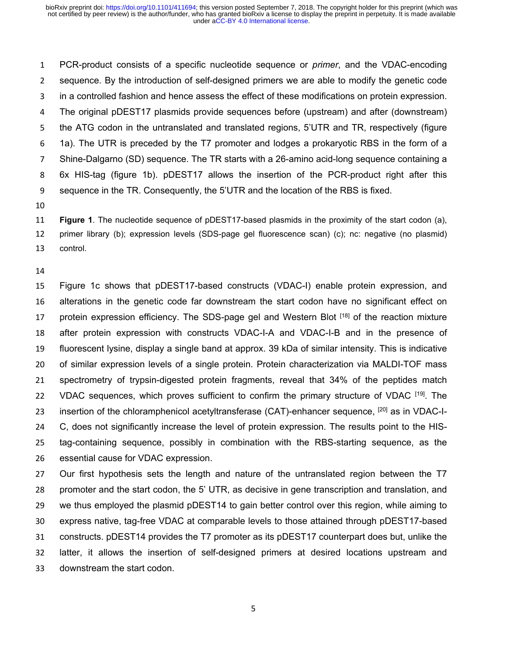PCR-product consists of a specific nucleotide sequence or *primer*, and the VDAC-encoding sequence. By the introduction of self-designed primers we are able to modify the genetic code in a controlled fashion and hence assess the effect of these modifications on protein expression. The original pDEST17 plasmids provide sequences before (upstream) and after (downstream) the ATG codon in the untranslated and translated regions, 5'UTR and TR, respectively (figure 1a). The UTR is preceded by the T7 promoter and lodges a prokaryotic RBS in the form of a Shine-Dalgarno (SD) sequence. The TR starts with a 26-amino acid-long sequence containing a 6x HIS-tag (figure 1b). pDEST17 allows the insertion of the PCR-product right after this sequence in the TR. Consequently, the 5'UTR and the location of the RBS is fixed.

 **Figure 1**. The nucleotide sequence of pDEST17-based plasmids in the proximity of the start codon (a), primer library (b); expression levels (SDS-page gel fluorescence scan) (c); nc: negative (no plasmid) control.

#### 

 Figure 1c shows that pDEST17-based constructs (VDAC-I) enable protein expression, and alterations in the genetic code far downstream the start codon have no significant effect on 17 protein expression efficiency. The SDS-page gel and Western Blot [18] of the reaction mixture after protein expression with constructs VDAC-I-A and VDAC-I-B and in the presence of fluorescent lysine, display a single band at approx. 39 kDa of similar intensity. This is indicative of similar expression levels of a single protein. Protein characterization via MALDI-TOF mass spectrometry of trypsin-digested protein fragments, reveal that 34% of the peptides match 22 VDAC sequences, which proves sufficient to confirm the primary structure of VDAC [19]. The 23 insertion of the chloramphenicol acetyltransferase (CAT)-enhancer sequence,  $[20]$  as in VDAC-I- C, does not significantly increase the level of protein expression. The results point to the HIS- tag-containing sequence, possibly in combination with the RBS-starting sequence, as the essential cause for VDAC expression.

 Our first hypothesis sets the length and nature of the untranslated region between the T7 promoter and the start codon, the 5' UTR, as decisive in gene transcription and translation, and we thus employed the plasmid pDEST14 to gain better control over this region, while aiming to express native, tag-free VDAC at comparable levels to those attained through pDEST17-based constructs. pDEST14 provides the T7 promoter as its pDEST17 counterpart does but, unlike the latter, it allows the insertion of self-designed primers at desired locations upstream and downstream the start codon.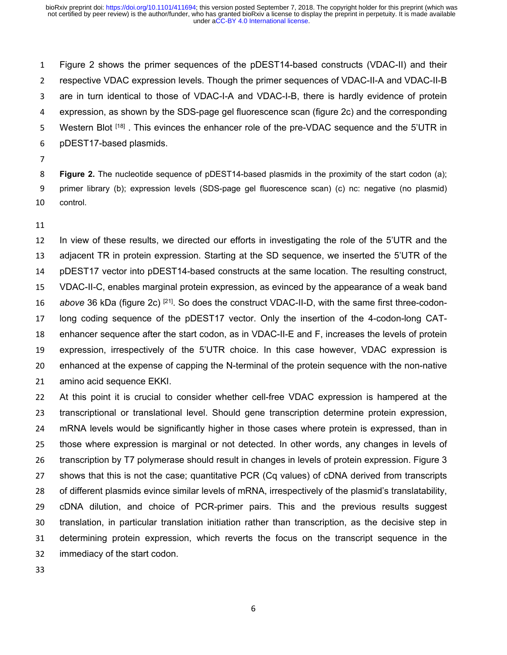Figure 2 shows the primer sequences of the pDEST14-based constructs (VDAC-II) and their respective VDAC expression levels. Though the primer sequences of VDAC-II-A and VDAC-II-B are in turn identical to those of VDAC-I-A and VDAC-I-B, there is hardly evidence of protein expression, as shown by the SDS-page gel fluorescence scan (figure 2c) and the corresponding 5 Western Blot  $[18]$ . This evinces the enhancer role of the pre-VDAC sequence and the 5'UTR in pDEST17-based plasmids.

 **Figure 2.** The nucleotide sequence of pDEST14-based plasmids in the proximity of the start codon (a); primer library (b); expression levels (SDS-page gel fluorescence scan) (c) nc: negative (no plasmid) control.

 In view of these results, we directed our efforts in investigating the role of the 5'UTR and the adjacent TR in protein expression. Starting at the SD sequence, we inserted the 5'UTR of the pDEST17 vector into pDEST14-based constructs at the same location. The resulting construct, VDAC-II-C, enables marginal protein expression, as evinced by the appearance of a weak band *above* 36 kDa (figure 2c) [21]. So does the construct VDAC-II-D, with the same first three-codon- long coding sequence of the pDEST17 vector. Only the insertion of the 4-codon-long CAT- enhancer sequence after the start codon, as in VDAC-II-E and F, increases the levels of protein expression, irrespectively of the 5'UTR choice. In this case however, VDAC expression is enhanced at the expense of capping the N-terminal of the protein sequence with the non-native amino acid sequence EKKI.

 At this point it is crucial to consider whether cell-free VDAC expression is hampered at the transcriptional or translational level. Should gene transcription determine protein expression, mRNA levels would be significantly higher in those cases where protein is expressed, than in those where expression is marginal or not detected. In other words, any changes in levels of 26 transcription by T7 polymerase should result in changes in levels of protein expression. Figure 3 shows that this is not the case; quantitative PCR (Cq values) of cDNA derived from transcripts of different plasmids evince similar levels of mRNA, irrespectively of the plasmid's translatability, cDNA dilution, and choice of PCR-primer pairs. This and the previous results suggest translation, in particular translation initiation rather than transcription, as the decisive step in determining protein expression, which reverts the focus on the transcript sequence in the immediacy of the start codon.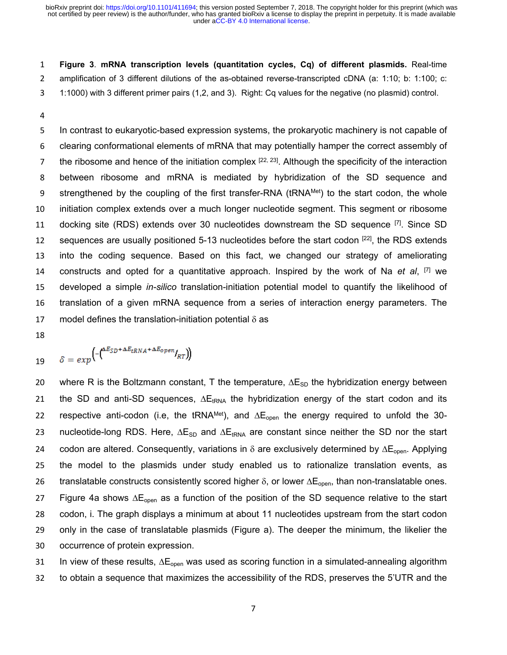1 **Figure 3**. **mRNA transcription levels (quantitation cycles, Cq) of different plasmids.** Real-time 2 amplification of 3 different dilutions of the as-obtained reverse-transcripted cDNA (a: 1:10; b: 1:100; c: 3 1:1000) with 3 different primer pairs (1,2, and 3). Right: Cq values for the negative (no plasmid) control.

4

 In contrast to eukaryotic-based expression systems, the prokaryotic machinery is not capable of clearing conformational elements of mRNA that may potentially hamper the correct assembly of 7 the ribosome and hence of the initiation complex  $[22, 23]$ . Although the specificity of the interaction between ribosome and mRNA is mediated by hybridization of the SD sequence and 9 strengthened by the coupling of the first transfer-RNA (tRNAMet) to the start codon, the whole initiation complex extends over a much longer nucleotide segment. This segment or ribosome 11 docking site (RDS) extends over 30 nucleotides downstream the SD sequence  $^{[7]}$ . Since SD 12 sequences are usually positioned 5-13 nucleotides before the start codon  $^{[22]}$ , the RDS extends into the coding sequence. Based on this fact, we changed our strategy of ameliorating constructs and opted for a quantitative approach. Inspired by the work of Na *et al*, [7] we developed a simple *in-silico* translation-initiation potential model to quantify the likelihood of translation of a given mRNA sequence from a series of interaction energy parameters. The 17 model defines the translation-initiation potential  $\delta$  as

18

$$
19 \qquad \delta = exp\left(-\left(\frac{\Delta E_{SD} + \Delta E_{tRNA} + \Delta E_{open}}{RT}\right)\right)
$$

20 where R is the Boltzmann constant, T the temperature,  $\Delta E_{SD}$  the hybridization energy between 21 the SD and anti-SD sequences,  $\Delta E_{tRNA}$  the hybridization energy of the start codon and its 22 respective anti-codon (i.e, the tRNAMet), and  $\Delta E_{\text{open}}$  the energy required to unfold the 30-23 nucleotide-long RDS. Here,  $\Delta E_{SD}$  and  $\Delta E_{tRNA}$  are constant since neither the SD nor the start 24 codon are altered. Consequently, variations in  $\delta$  are exclusively determined by  $\Delta E_{\text{one}}$ . Applying 25 the model to the plasmids under study enabled us to rationalize translation events, as 26 translatable constructs consistently scored higher  $\delta$ , or lower  $\Delta E_{open}$ , than non-translatable ones. 27 Figure 4a shows  $\Delta E_{\text{open}}$  as a function of the position of the SD sequence relative to the start 28 codon, i. The graph displays a minimum at about 11 nucleotides upstream from the start codon 29 only in the case of translatable plasmids (Figure a). The deeper the minimum, the likelier the 30 occurrence of protein expression.

31 In view of these results,  $\Delta E_{\text{open}}$  was used as scoring function in a simulated-annealing algorithm 32 to obtain a sequence that maximizes the accessibility of the RDS, preserves the 5'UTR and the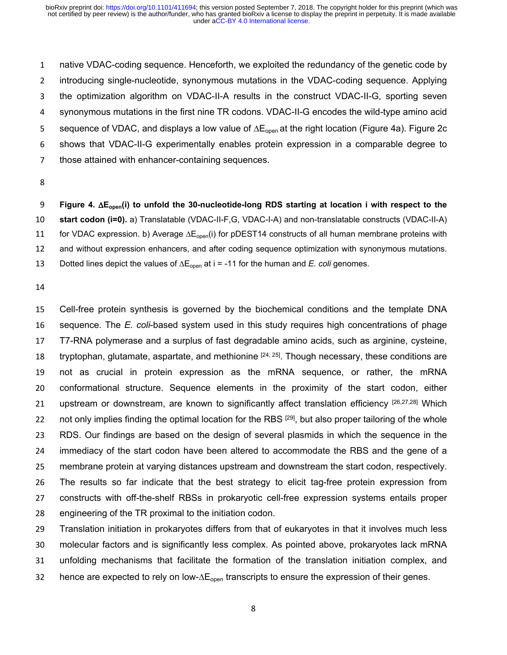native VDAC-coding sequence. Henceforth, we exploited the redundancy of the genetic code by introducing single-nucleotide, synonymous mutations in the VDAC-coding sequence. Applying the optimization algorithm on VDAC-II-A results in the construct VDAC-II-G, sporting seven synonymous mutations in the first nine TR codons. VDAC-II-G encodes the wild-type amino acid 5 sequence of VDAC, and displays a low value of  $\Delta E_{open}$  at the right location (Figure 4a). Figure 2c shows that VDAC-II-G experimentally enables protein expression in a comparable degree to those attained with enhancer-containing sequences.

 **Figure 4. Eopen(i) to unfold the 30-nucleotide-long RDS starting at location i with respect to the start codon (i=0).** a) Translatable (VDAC-II-F,G, VDAC-I-A) and non-translatable constructs (VDAC-II-A) 11 for VDAC expression. b) Average  $\Delta E_{\text{open}}(i)$  for pDEST14 constructs of all human membrane proteins with and without expression enhancers, and after coding sequence optimization with synonymous mutations. 13 Dotted lines depict the values of  $\Delta E_{open}$  at i = -11 for the human and *E. coli* genomes.

 Cell-free protein synthesis is governed by the biochemical conditions and the template DNA sequence. The *E. coli*-based system used in this study requires high concentrations of phage T7-RNA polymerase and a surplus of fast degradable amino acids, such as arginine, cysteine, 18 tryptophan, glutamate, aspartate, and methionine  $[24, 25]$ . Though necessary, these conditions are not as crucial in protein expression as the mRNA sequence, or rather, the mRNA conformational structure. Sequence elements in the proximity of the start codon, either 21 upstream or downstream, are known to significantly affect translation efficiency [26,27,28] Which 22 not only implies finding the optimal location for the RBS  $[29]$ , but also proper tailoring of the whole RDS. Our findings are based on the design of several plasmids in which the sequence in the immediacy of the start codon have been altered to accommodate the RBS and the gene of a membrane protein at varying distances upstream and downstream the start codon, respectively. The results so far indicate that the best strategy to elicit tag-free protein expression from constructs with off-the-shelf RBSs in prokaryotic cell-free expression systems entails proper engineering of the TR proximal to the initiation codon.

 Translation initiation in prokaryotes differs from that of eukaryotes in that it involves much less molecular factors and is significantly less complex. As pointed above, prokaryotes lack mRNA unfolding mechanisms that facilitate the formation of the translation initiation complex, and 32 hence are expected to rely on low- $\Delta E_{\text{open}}$  transcripts to ensure the expression of their genes.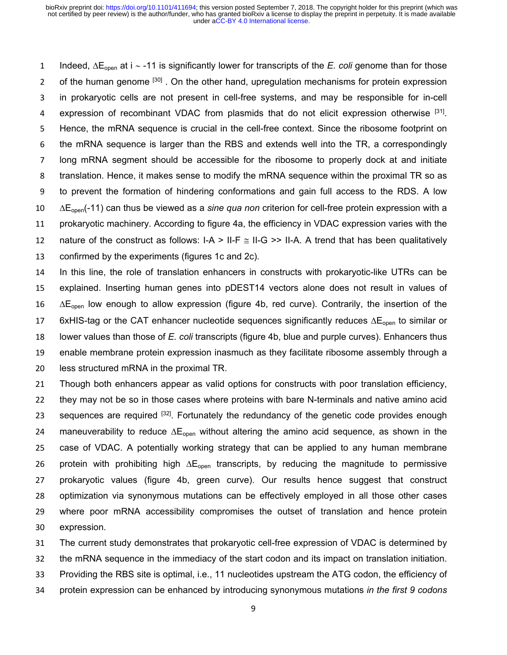1 Indeed,  $\Delta E_{\text{open}}$  at i  $\sim$  -11 is significantly lower for transcripts of the *E. coli* genome than for those 2 of the human genome <sup>[30]</sup>. On the other hand, upregulation mechanisms for protein expression in prokaryotic cells are not present in cell-free systems, and may be responsible for in-cell 4 expression of recombinant VDAC from plasmids that do not elicit expression otherwise [31]. Hence, the mRNA sequence is crucial in the cell-free context. Since the ribosome footprint on the mRNA sequence is larger than the RBS and extends well into the TR, a correspondingly long mRNA segment should be accessible for the ribosome to properly dock at and initiate translation. Hence, it makes sense to modify the mRNA sequence within the proximal TR so as to prevent the formation of hindering conformations and gain full access to the RDS. A low Eopen(-11) can thus be viewed as a *sine qua non* criterion for cell-free protein expression with a prokaryotic machinery. According to figure 4a, the efficiency in VDAC expression varies with the 12 nature of the construct as follows: I-A > II-F  $\approx$  II-G >> II-A. A trend that has been qualitatively confirmed by the experiments (figures 1c and 2c).

 In this line, the role of translation enhancers in constructs with prokaryotic-like UTRs can be explained. Inserting human genes into pDEST14 vectors alone does not result in values of  $\Delta E_{open}$  low enough to allow expression (figure 4b, red curve). Contrarily, the insertion of the 17 6xHIS-tag or the CAT enhancer nucleotide sequences significantly reduces  $\Delta E_{open}$  to similar or lower values than those of *E. coli* transcripts (figure 4b, blue and purple curves). Enhancers thus enable membrane protein expression inasmuch as they facilitate ribosome assembly through a less structured mRNA in the proximal TR.

 Though both enhancers appear as valid options for constructs with poor translation efficiency, they may not be so in those cases where proteins with bare N-terminals and native amino acid 23 sequences are required  $[32]$ . Fortunately the redundancy of the genetic code provides enough 24 maneuverability to reduce  $\Delta E_{\text{open}}$  without altering the amino acid sequence, as shown in the case of VDAC. A potentially working strategy that can be applied to any human membrane 26 protein with prohibiting high  $\Delta E_{\text{open}}$  transcripts, by reducing the magnitude to permissive prokaryotic values (figure 4b, green curve). Our results hence suggest that construct optimization via synonymous mutations can be effectively employed in all those other cases where poor mRNA accessibility compromises the outset of translation and hence protein expression.

 The current study demonstrates that prokaryotic cell-free expression of VDAC is determined by the mRNA sequence in the immediacy of the start codon and its impact on translation initiation. Providing the RBS site is optimal, i.e., 11 nucleotides upstream the ATG codon, the efficiency of protein expression can be enhanced by introducing synonymous mutations *in the first 9 codons*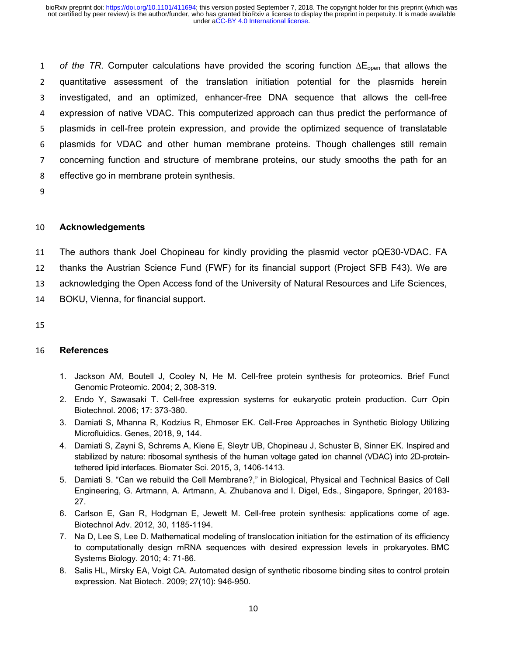1 of the TR. Computer calculations have provided the scoring function  $\Delta E_{open}$  that allows the quantitative assessment of the translation initiation potential for the plasmids herein investigated, and an optimized, enhancer-free DNA sequence that allows the cell-free expression of native VDAC. This computerized approach can thus predict the performance of plasmids in cell-free protein expression, and provide the optimized sequence of translatable plasmids for VDAC and other human membrane proteins. Though challenges still remain concerning function and structure of membrane proteins, our study smooths the path for an effective go in membrane protein synthesis.

9

# 10 **Acknowledgements**

11 The authors thank Joel Chopineau for kindly providing the plasmid vector pQE30-VDAC. FA

12 thanks the Austrian Science Fund (FWF) for its financial support (Project SFB F43). We are

13 acknowledging the Open Access fond of the University of Natural Resources and Life Sciences,

- 14 BOKU, Vienna, for financial support.
- 15

# 16 **References**

- 1. Jackson AM, Boutell J, Cooley N, He M. Cell-free protein synthesis for proteomics. Brief Funct Genomic Proteomic. 2004; 2, 308-319.
- 2. Endo Y, Sawasaki T. Cell-free expression systems for eukaryotic protein production. Curr Opin Biotechnol. 2006; 17: 373-380.
- 3. Damiati S, Mhanna R, Kodzius R, Ehmoser EK. Cell-Free Approaches in Synthetic Biology Utilizing Microfluidics. Genes, 2018, 9, 144.
- 4. Damiati S, Zayni S, Schrems A, Kiene E, Sleytr UB, Chopineau J, Schuster B, Sinner EK. Inspired and stabilized by nature: ribosomal synthesis of the human voltage gated ion channel (VDAC) into 2D-proteintethered lipid interfaces. Biomater Sci. 2015, 3, 1406-1413.
- 5. Damiati S. "Can we rebuild the Cell Membrane?," in Biological, Physical and Technical Basics of Cell Engineering, G. Artmann, A. Artmann, A. Zhubanova and I. Digel, Eds., Singapore, Springer, 20183- 27.
- 6. Carlson E, Gan R, Hodgman E, Jewett M. Cell-free protein synthesis: applications come of age. Biotechnol Adv. 2012, 30, 1185-1194.
- 7. Na D, Lee S, Lee D. Mathematical modeling of translocation initiation for the estimation of its efficiency to computationally design mRNA sequences with desired expression levels in prokaryotes. BMC Systems Biology. 2010; 4: 71-86.
- 8. Salis HL, Mirsky EA, Voigt CA. Automated design of synthetic ribosome binding sites to control protein expression. Nat Biotech. 2009; 27(10): 946-950.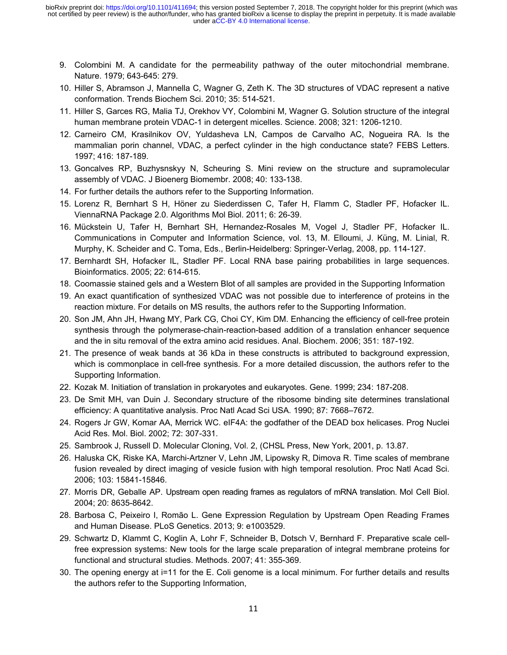- 9. Colombini M. A candidate for the permeability pathway of the outer mitochondrial membrane. Nature. 1979; 643-645: 279.
- 10. Hiller S, Abramson J, Mannella C, Wagner G, Zeth K. The 3D structures of VDAC represent a native conformation. Trends Biochem Sci. 2010; 35: 514-521.
- 11. Hiller S, Garces RG, Malia TJ, Orekhov VY, Colombini M, Wagner G. Solution structure of the integral human membrane protein VDAC-1 in detergent micelles. Science. 2008; 321: 1206-1210.
- 12. Carneiro CM, Krasilnikov OV, Yuldasheva LN, Campos de Carvalho AC, Nogueira RA. Is the mammalian porin channel, VDAC, a perfect cylinder in the high conductance state? FEBS Letters. 1997; 416: 187-189.
- 13. Goncalves RP, Buzhysnskyy N, Scheuring S. Mini review on the structure and supramolecular assembly of VDAC. J Bioenerg Biomembr. 2008; 40: 133-138.
- 14. For further details the authors refer to the Supporting Information.
- 15. Lorenz R, Bernhart S H, Höner zu Siederdissen C, Tafer H, Flamm C, Stadler PF, Hofacker IL. ViennaRNA Package 2.0. Algorithms Mol Biol. 2011; 6: 26-39.
- 16. Mückstein U, Tafer H, Bernhart SH, Hernandez-Rosales M, Vogel J, Stadler PF, Hofacker IL. Communications in Computer and Information Science, vol. 13, M. Elloumi, J. Küng, M. Linial, R. Murphy, K. Scheider and C. Toma, Eds., Berlin-Heidelberg: Springer-Verlag, 2008, pp. 114-127.
- 17. Bernhardt SH, Hofacker IL, Stadler PF. Local RNA base pairing probabilities in large sequences. Bioinformatics. 2005; 22: 614-615.
- 18. Coomassie stained gels and a Western Blot of all samples are provided in the Supporting Information
- 19. An exact quantification of synthesized VDAC was not possible due to interference of proteins in the reaction mixture. For details on MS results, the authors refer to the Supporting Information.
- 20. Son JM, Ahn JH, Hwang MY, Park CG, Choi CY, Kim DM. Enhancing the efficiency of cell-free protein synthesis through the polymerase-chain-reaction-based addition of a translation enhancer sequence and the in situ removal of the extra amino acid residues. Anal. Biochem. 2006; 351: 187-192.
- 21. The presence of weak bands at 36 kDa in these constructs is attributed to background expression, which is commonplace in cell-free synthesis. For a more detailed discussion, the authors refer to the Supporting Information.
- 22. Kozak M. Initiation of translation in prokaryotes and eukaryotes. Gene. 1999; 234: 187-208.
- 23. De Smit MH, van Duin J. Secondary structure of the ribosome binding site determines translational efficiency: A quantitative analysis. Proc Natl Acad Sci USA. 1990; 87: 7668–7672.
- 24. Rogers Jr GW, Komar AA, Merrick WC. eIF4A: the godfather of the DEAD box helicases. Prog Nuclei Acid Res. Mol. Biol. 2002; 72: 307-331.
- 25. Sambrook J, Russell D. Molecular Cloning, Vol. 2, (CHSL Press, New York, 2001, p. 13.87.
- 26. Haluska CK, Riske KA, Marchi-Artzner V, Lehn JM, Lipowsky R, Dimova R. Time scales of membrane fusion revealed by direct imaging of vesicle fusion with high temporal resolution. Proc Natl Acad Sci. 2006; 103: 15841-15846.
- 27. Morris DR, Geballe AP. Upstream open reading frames as regulators of mRNA translation. Mol Cell Biol. 2004; 20: 8635-8642.
- 28. Barbosa C, Peixeiro I, Romão L. Gene Expression Regulation by Upstream Open Reading Frames and Human Disease. PLoS Genetics. 2013; 9: e1003529.
- 29. Schwartz D, Klammt C, Koglin A, Lohr F, Schneider B, Dotsch V, Bernhard F. Preparative scale cellfree expression systems: New tools for the large scale preparation of integral membrane proteins for functional and structural studies. Methods. 2007; 41: 355-369.
- 30. The opening energy at i=11 for the E. Coli genome is a local minimum. For further details and results the authors refer to the Supporting Information,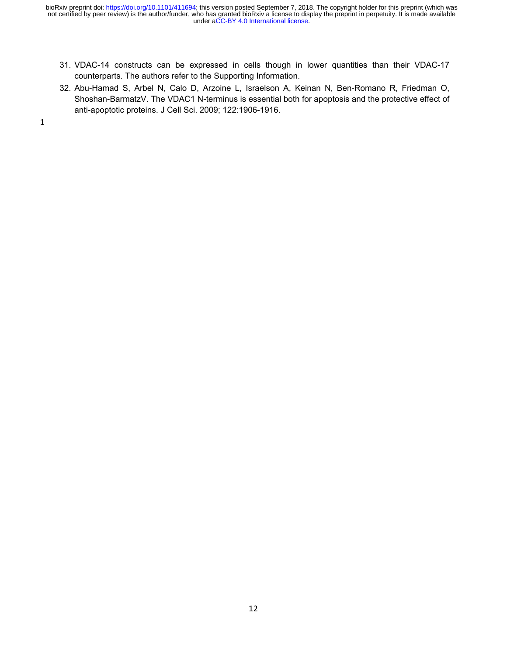- 31. VDAC-14 constructs can be expressed in cells though in lower quantities than their VDAC-17 counterparts. The authors refer to the Supporting Information.
- 32. Abu-Hamad S, Arbel N, Calo D, Arzoine L, Israelson A, Keinan N, Ben-Romano R, Friedman O, Shoshan-BarmatzV. The VDAC1 N-terminus is essential both for apoptosis and the protective effect of anti-apoptotic proteins. J Cell Sci. 2009; 122:1906-1916.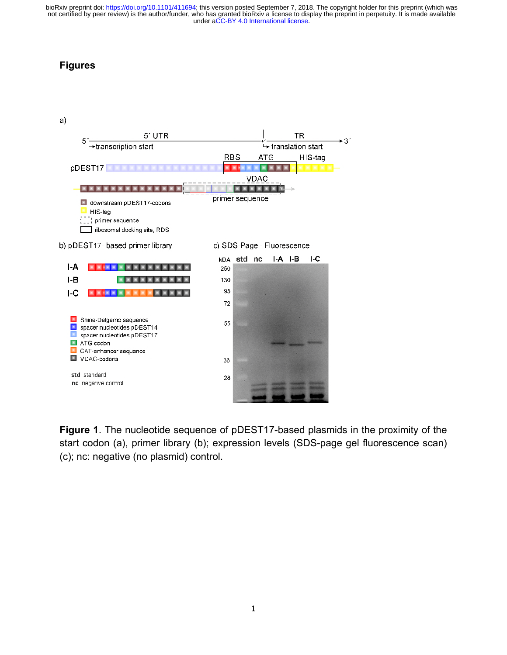# **Figures**



**Figure 1**. The nucleotide sequence of pDEST17-based plasmids in the proximity of the start codon (a), primer library (b); expression levels (SDS-page gel fluorescence scan) (c); nc: negative (no plasmid) control.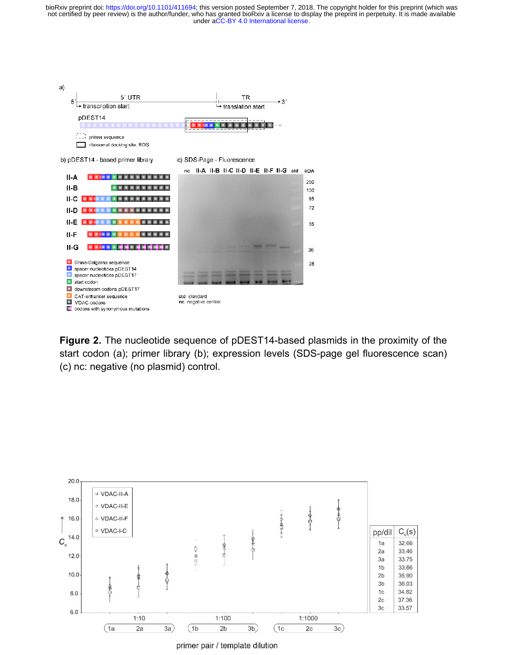

**Figure 2.** The nucleotide sequence of pDEST14-based plasmids in the proximity of the start codon (a); primer library (b); expression levels (SDS-page gel fluorescence scan) (c) nc: negative (no plasmid) control.



primer pair / template dilution